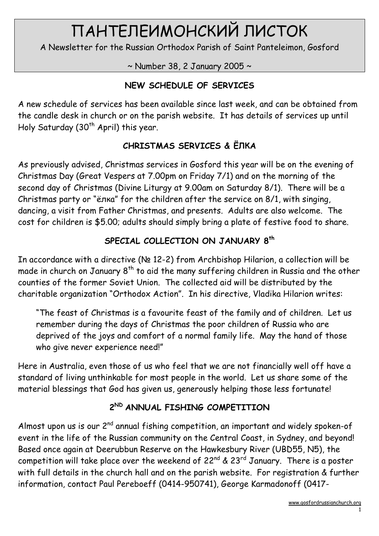# ПАНТЕЛЕИМОНСКИЙ ЛИСТОК

A Newsletter for the Russian Orthodox Parish of Saint Panteleimon, Gosford

 $\sim$  Number 38, 2 January 2005  $\sim$ 

## NEW SCHEDULE OF SERVICES

A new schedule of services has been available since last week, and can be obtained from the candle desk in church or on the parish website. It has details of services up until Holy Saturday (30<sup>th</sup> April) this year.

## CHRISTMAS SERVICES & ЁЛКА

As previously advised, Christmas services in Gosford this year will be on the evening of Christmas Day (Great Vespers at 7.00pm on Friday 7/1) and on the morning of the second day of Christmas (Divine Liturgy at 9.00am on Saturday 8/1). There will be a Christmas party or "ёлка" for the children after the service on 8/1, with singing, dancing, a visit from Father Christmas, and presents. Adults are also welcome. The cost for children is \$5.00; adults should simply bring a plate of festive food to share.

## SPECIAL COLLECTION ON JANUARY 8<sup>th</sup>

In accordance with a directive (№ 12-2) from Archbishop Hilarion, a collection will be made in church on January 8<sup>th</sup> to aid the many suffering children in Russia and the other counties of the former Soviet Union. The collected aid will be distributed by the charitable organization "Orthodox Action". In his directive, Vladika Hilarion writes:

"The feast of Christmas is a favourite feast of the family and of children. Let us remember during the days of Christmas the poor children of Russia who are deprived of the joys and comfort of a normal family life. May the hand of those who give never experience need!"

Here in Australia, even those of us who feel that we are not financially well off have a standard of living unthinkable for most people in the world. Let us share some of the material blessings that God has given us, generously helping those less fortunate!

# 2<sup>ND</sup> ANNUAL FISHING COMPETITION

Almost upon us is our  $2^{nd}$  annual fishing competition, an important and widely spoken-of event in the life of the Russian community on the Central Coast, in Sydney, and beyond! Based once again at Deerubbun Reserve on the Hawkesbury River (UBD55, N5), the competition will take place over the weekend of  $22^{nd}$  &  $23^{rd}$  January. There is a poster with full details in the church hall and on the parish website. For registration & further information, contact Paul Pereboeff (0414-950741), George Karmadonoff (0417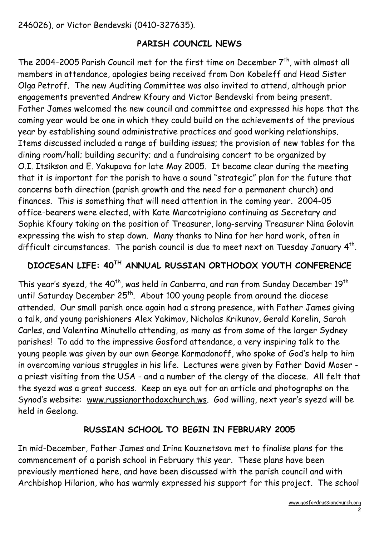246026), or Victor Bendevski (0410-327635).

#### PARISH COUNCIL NEWS

The 2004-2005 Parish Council met for the first time on December  $7<sup>th</sup>$ , with almost all members in attendance, apologies being received from Don Kobeleff and Head Sister Olga Petroff. The new Auditing Committee was also invited to attend, although prior engagements prevented Andrew Kfoury and Victor Bendevski from being present. Father James welcomed the new council and committee and expressed his hope that the coming year would be one in which they could build on the achievements of the previous year by establishing sound administrative practices and good working relationships. Items discussed included a range of building issues; the provision of new tables for the dining room/hall; building security; and a fundraising concert to be organized by O.I. Itsikson and E. Yakupova for late May 2005. It became clear during the meeting that it is important for the parish to have a sound "strategic" plan for the future that concerns both direction (parish growth and the need for a permanent church) and finances. This is something that will need attention in the coming year. 2004-05 office-bearers were elected, with Kate Marcotrigiano continuing as Secretary and Sophie Kfoury taking on the position of Treasurer, long-serving Treasurer Nina Golovin expressing the wish to step down. Many thanks to Nina for her hard work, often in difficult circumstances. The parish council is due to meet next on Tuesday January  $4^{\text{th}}$ .

#### DIOCESAN LIFE: 40TH ANNUAL RUSSIAN ORTHODOX YOUTH CONFERENCE

This year's syezd, the 40<sup>th</sup>, was held in Canberra, and ran from Sunday December 19<sup>th</sup> until Saturday December  $25<sup>th</sup>$ . About 100 young people from around the diocese attended. Our small parish once again had a strong presence, with Father James giving a talk, and young parishioners Alex Yakimov, Nicholas Krikunov, Gerald Korelin, Sarah Carles, and Valentina Minutello attending, as many as from some of the larger Sydney parishes! To add to the impressive Gosford attendance, a very inspiring talk to the young people was given by our own George Karmadonoff, who spoke of God's help to him in overcoming various struggles in his life. Lectures were given by Father David Moser a priest visiting from the USA - and a number of the clergy of the diocese. All felt that the syezd was a great success. Keep an eye out for an article and photographs on the Synod's website: www.russianorthodoxchurch.ws. God willing, next year's syezd will be held in Geelong.

#### RUSSIAN SCHOOL TO BEGIN IN FEBRUARY 2005

In mid-December, Father James and Irina Kouznetsova met to finalise plans for the commencement of a parish school in February this year. These plans have been previously mentioned here, and have been discussed with the parish council and with Archbishop Hilarion, who has warmly expressed his support for this project. The school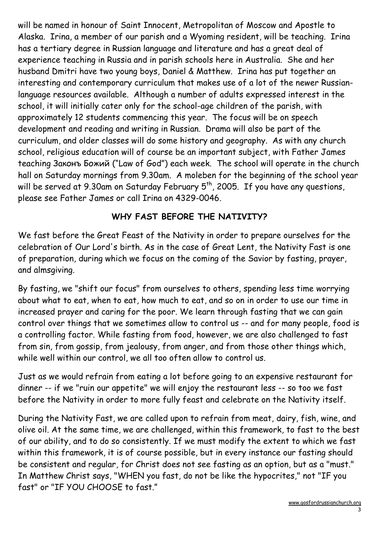will be named in honour of Saint Innocent, Metropolitan of Moscow and Apostle to Alaska. Irina, a member of our parish and a Wyoming resident, will be teaching. Irina has a tertiary degree in Russian language and literature and has a great deal of experience teaching in Russia and in parish schools here in Australia. She and her husband Dmitri have two young boys, Daniel & Matthew. Irina has put together an interesting and contemporary curriculum that makes use of a lot of the newer Russianlanguage resources available. Although a number of adults expressed interest in the school, it will initially cater only for the school-age children of the parish, with approximately 12 students commencing this year. The focus will be on speech development and reading and writing in Russian. Drama will also be part of the curriculum, and older classes will do some history and geography. As with any church school, religious education will of course be an important subject, with Father James teaching Законъ Божий ("Law of God") each week. The school will operate in the church hall on Saturday mornings from 9.30am. A moleben for the beginning of the school year will be served at 9.30am on Saturday February 5<sup>th</sup>, 2005. If you have any questions, please see Father James or call Irina on 4329-0046.

## WHY FAST BEFORE THE NATIVITY?

We fast before the Great Feast of the Nativity in order to prepare ourselves for the celebration of Our Lord's birth. As in the case of Great Lent, the Nativity Fast is one of preparation, during which we focus on the coming of the Savior by fasting, prayer, and almsgiving.

By fasting, we "shift our focus" from ourselves to others, spending less time worrying about what to eat, when to eat, how much to eat, and so on in order to use our time in increased prayer and caring for the poor. We learn through fasting that we can gain control over things that we sometimes allow to control us -- and for many people, food is a controlling factor. While fasting from food, however, we are also challenged to fast from sin, from gossip, from jealousy, from anger, and from those other things which, while well within our control, we all too often allow to control us.

Just as we would refrain from eating a lot before going to an expensive restaurant for dinner -- if we "ruin our appetite" we will enjoy the restaurant less -- so too we fast before the Nativity in order to more fully feast and celebrate on the Nativity itself.

During the Nativity Fast, we are called upon to refrain from meat, dairy, fish, wine, and olive oil. At the same time, we are challenged, within this framework, to fast to the best of our ability, and to do so consistently. If we must modify the extent to which we fast within this framework, it is of course possible, but in every instance our fasting should be consistent and regular, for Christ does not see fasting as an option, but as a "must." In Matthew Christ says, "WHEN you fast, do not be like the hypocrites," not "IF you fast" or "IF YOU CHOOSE to fast."